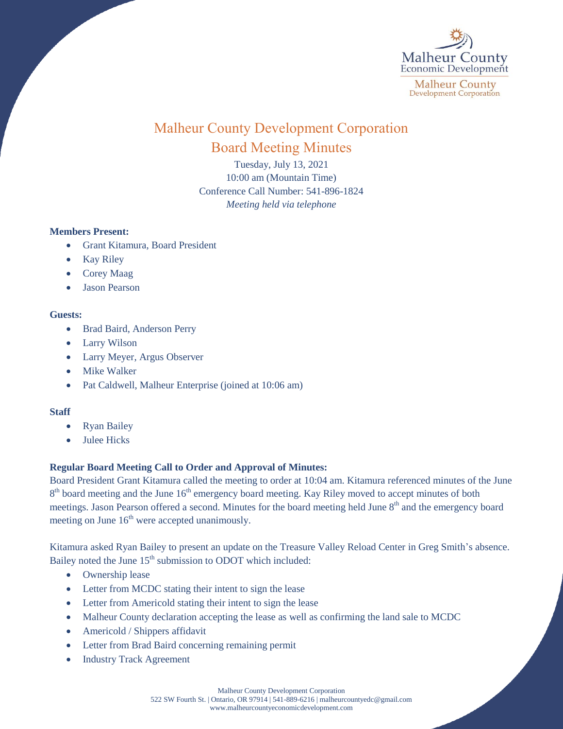

# Malheur County Development Corporation Board Meeting Minutes

Tuesday, July 13, 2021 10:00 am (Mountain Time) Conference Call Number: 541-896-1824 *Meeting held via telephone*

#### **Members Present:**

- Grant Kitamura, Board President
- Kay Riley
- Corey Maag
- Jason Pearson

#### **Guests:**

- Brad Baird, Anderson Perry
- Larry Wilson
- Larry Meyer, Argus Observer
- Mike Walker
- Pat Caldwell, Malheur Enterprise (joined at 10:06 am)

### **Staff**

- Ryan Bailey
- Julee Hicks

## **Regular Board Meeting Call to Order and Approval of Minutes:**

Board President Grant Kitamura called the meeting to order at 10:04 am. Kitamura referenced minutes of the June  $8<sup>th</sup>$  board meeting and the June  $16<sup>th</sup>$  emergency board meeting. Kay Riley moved to accept minutes of both meetings. Jason Pearson offered a second. Minutes for the board meeting held June 8<sup>th</sup> and the emergency board meeting on June  $16<sup>th</sup>$  were accepted unanimously.

Kitamura asked Ryan Bailey to present an update on the Treasure Valley Reload Center in Greg Smith's absence. Bailey noted the June  $15<sup>th</sup>$  submission to ODOT which included:

- Ownership lease
- Letter from MCDC stating their intent to sign the lease
- Letter from Americold stating their intent to sign the lease
- Malheur County declaration accepting the lease as well as confirming the land sale to MCDC
- Americold / Shippers affidavit
- Letter from Brad Baird concerning remaining permit
- Industry Track Agreement

Malheur County Development Corporation 522 SW Fourth St. | Ontario, OR 97914 | 541-889-6216 [| malheurcountyedc@gmail.com](mailto:malheurcountyedc@gmail.com) [www.malheurcountyeconomicdevelopment.com](http://www.malheurcountyeconomicdevelopment.com/)